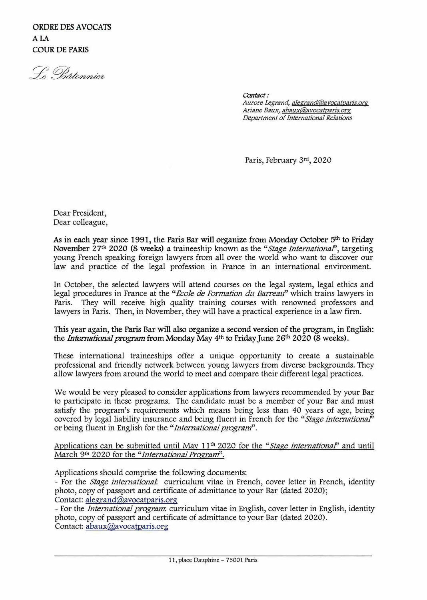Le Bâtonnier

*Contact: Aurore Legrand, alegrand@avocatparis.org Ariane Ball)(, abaU)(@avoca.tparis.org Department of International Relations* 

Paris, February 3rd, 2020

Dear President, Dear colleague,

As in **each year since 1991,** the **Paris Bar will organize from Monday October** 5th **to Friday November** 27th **2020 (8 weeks)** a traineeship known as the *"Stage International',* targeting young French speaking foreign lawyers from all over the world who want to discover our law and practice of the legal profession in France in an international environment.

In October, the selected lawyers will attend courses on the legal system, legal ethics and legal procedures in France at the "*Ecole de Formation du Barreau*" which trains lawyers in Paris. They will receive high quality training courses with renowned professors and lawyers in Paris. Then, in November, they will have a practical experience in a law firm.

This year again, the Paris Bar will also organize a second version of the program, in English: the *International program* from Monday May 4<sup>th</sup> to Friday June 26<sup>th</sup> 2020 (8 weeks).

These international traineeships offer a unique opportunity to create a sustainable professional and friendly network between young lawyers from diverse backgrounds. They allow lawyers from around the world to meet and compare their different legal practices.

We would be very pleased to consider applications from lawyers recommended by your Bar to participate in these programs. The candidate must be a member of your Bar and must satisfy the program's requirements which means being less than 40 years of age, being covered by legal liability insurance and being fluent in French for the *"Stage international'*  or being fluent in English for the *"International prograrri'.* 

Applications can be submitted until May 11<sup>th</sup> 2020 for the "*Stage international*" and until March **<sup>9</sup> th** 2020 for the *"International Program".* 

Applications should comprise the following documents:

- For the *Stage international* curriculum vitae in French, cover letter in French, identity photo, copy of passport and certificate of admittance to your Bar (dated 2020); Contact: alegrand@avocatparis.org

- For the *International program.* curriculum vitae in English, cover letter in English, identity photo, copy of passport and certificate of admittance to your Bar (dated 2020). Contact: abaux@avocatparis.org